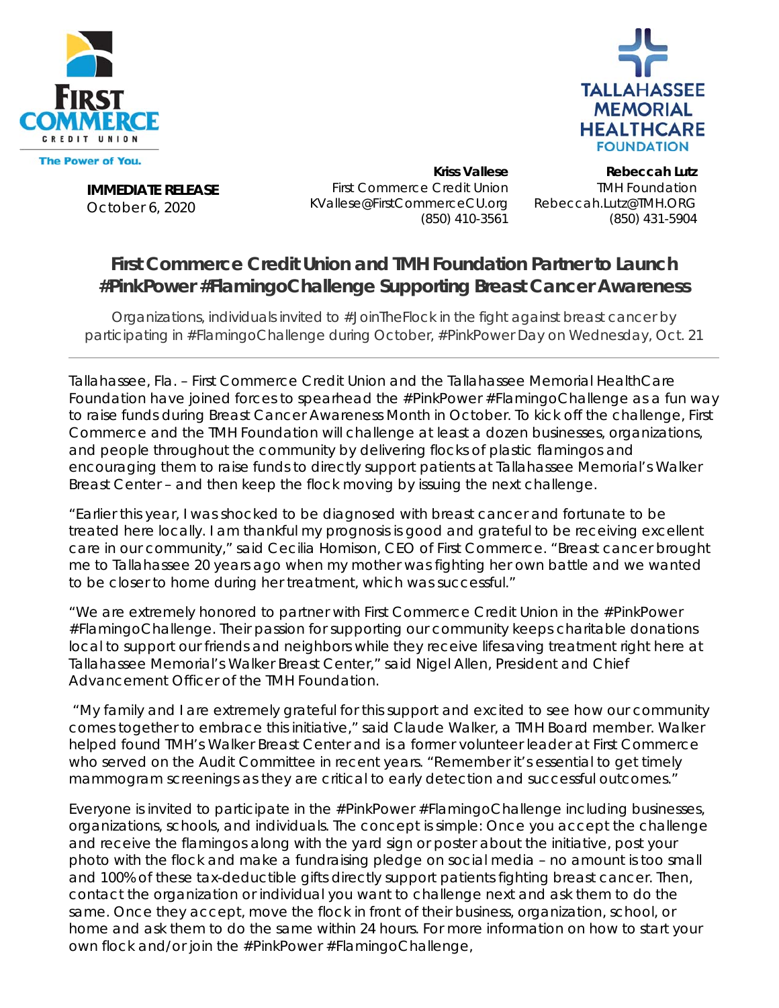

**TALLAHASSEE MEMORIAL HEALTHCARE FOUNDATION** 

**IMMEDIATE RELEASE**  October 6, 2020

**Kriss Vallese** First Commerce Credit Union KVallese@FirstCommerceCU.org (850) 410-3561

**Rebeccah Lutz** TMH Foundation Rebeccah.Lutz@TMH.ORG (850) 431-5904

## **First Commerce Credit Union and TMH Foundation Partner to Launch #PinkPower #FlamingoChallenge Supporting Breast Cancer Awareness**

*Organizations, individuals invited to #JoinTheFlock in the fight against breast cancer by participating in #FlamingoChallenge during October, #PinkPower Day on Wednesday, Oct. 21* 

Tallahassee, Fla. – First Commerce Credit Union and the Tallahassee Memorial HealthCare Foundation have joined forces to spearhead the #PinkPower #FlamingoChallenge as a fun way to raise funds during Breast Cancer Awareness Month in October. To kick off the challenge, First Commerce and the TMH Foundation will challenge at least a dozen businesses, organizations, and people throughout the community by delivering flocks of plastic flamingos and encouraging them to raise funds to directly support patients at Tallahassee Memorial's Walker Breast Center – and then keep the flock moving by issuing the next challenge.

"Earlier this year, I was shocked to be diagnosed with breast cancer and fortunate to be treated here locally. I am thankful my prognosis is good and grateful to be receiving excellent care in our community," said Cecilia Homison, CEO of First Commerce. "Breast cancer brought me to Tallahassee 20 years ago when my mother was fighting her own battle and we wanted to be closer to home during her treatment, which was successful."

"We are extremely honored to partner with First Commerce Credit Union in the #PinkPower #FlamingoChallenge. Their passion for supporting our community keeps charitable donations local to support our friends and neighbors while they receive lifesaving treatment right here at Tallahassee Memorial's Walker Breast Center," said Nigel Allen, President and Chief Advancement Officer of the TMH Foundation.

 "My family and I are extremely grateful for this support and excited to see how our community comes together to embrace this initiative," said Claude Walker, a TMH Board member. Walker helped found TMH's Walker Breast Center and is a former volunteer leader at First Commerce who served on the Audit Committee in recent years. "Remember it's essential to get timely mammogram screenings as they are critical to early detection and successful outcomes."

Everyone is invited to participate in the #PinkPower #FlamingoChallenge including businesses, organizations, schools, and individuals. The concept is simple: Once you accept the challenge and receive the flamingos along with the yard sign or poster about the initiative, post your photo with the flock and make a fundraising pledge on social media – no amount is too small and 100% of these tax-deductible gifts directly support patients fighting breast cancer. Then, contact the organization or individual you want to challenge next and ask them to do the same. Once they accept, move the flock in front of their business, organization, school, or home and ask them to do the same within 24 hours. For more information on how to start your own flock and/or join the #PinkPower #FlamingoChallenge,